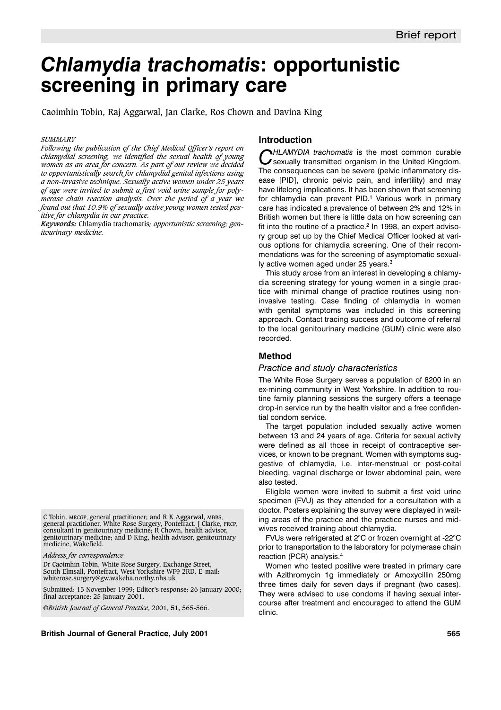# *Chlamydia trachomatis***: opportunistic screening in primary care**

Caoimhin Tobin, Raj Aggarwal, Jan Clarke, Ros Chown and Davina King

#### *SUMMARY*

*Following the publication of the Chief Medical Officer's report on chlamydial screening, we identified the sexual health of young women as an area for concern. As part of our review we decided to opportunistically search for chlamydial genital infections using a non-invasive technique. Sexually active women under 25 years of age were invited to submit a first void urine sample for polymerase chain reaction analysis. Over the period of a year we found out that 10.9% of sexually active young women tested positive for chlamydia in our practice.*

*Keywords:* Chlamydia trachomatis*; opportunistic screening; genitourinary medicine.*

*Address for correspondence*

Dr Caoimhin Tobin, White Rose Surgery, Exchange Street, South Elmsall, Pontefract, West Yorkshire WF9 2RD. E-mail: whiterose.surgery@gw.wakeha.northy.nhs.uk

Submitted: 15 November 1999; Editor's response: 26 January 2000; final acceptance: 25 January 2001.

©*British Journal of General Practice*, 2001, **51,** 565-566.

#### **British Journal of General Practice, July 2001 565**

## **Introduction**

**CHLAMYDIA trachomatis is the most common curable**<br>sexually transmitted organism in the United Kingdom. The consequences can be severe (pelvic inflammatory disease [PID], chronic pelvic pain, and infertility) and may have lifelong implications. It has been shown that screening for chlamydia can prevent PID.<sup>1</sup> Various work in primary care has indicated a prevalence of between 2% and 12% in British women but there is little data on how screening can fit into the routine of a practice. $2$  In 1998, an expert advisory group set up by the Chief Medical Officer looked at various options for chlamydia screening. One of their recommendations was for the screening of asymptomatic sexually active women aged under 25 years.3

This study arose from an interest in developing a chlamydia screening strategy for young women in a single practice with minimal change of practice routines using noninvasive testing. Case finding of chlamydia in women with genital symptoms was included in this screening approach. Contact tracing success and outcome of referral to the local genitourinary medicine (GUM) clinic were also recorded.

## **Method**

#### *Practice and study characteristics*

The White Rose Surgery serves a population of 8200 in an ex-mining community in West Yorkshire. In addition to routine family planning sessions the surgery offers a teenage drop-in service run by the health visitor and a free confidential condom service.

The target population included sexually active women between 13 and 24 years of age. Criteria for sexual activity were defined as all those in receipt of contraceptive services, or known to be pregnant. Women with symptoms suggestive of chlamydia, i.e. inter-menstrual or post-coital bleeding, vaginal discharge or lower abdominal pain, were also tested.

Eligible women were invited to submit a first void urine specimen (FVU) as they attended for a consultation with a doctor. Posters explaining the survey were displayed in waiting areas of the practice and the practice nurses and midwives received training about chlamydia.

FVUs were refrigerated at 2°C or frozen overnight at -22°C prior to transportation to the laboratory for polymerase chain reaction (PCR) analysis.4

Women who tested positive were treated in primary care with Azithromycin 1g immediately or Amoxycillin 250mg three times daily for seven days if pregnant (two cases). They were advised to use condoms if having sexual intercourse after treatment and encouraged to attend the GUM clinic.

C Tobin, MRCGP, general practitioner; and R K Aggarwal, MBBS, general practitioner, White Rose Surgery, Pontefract. J Clarke, FRCP, consultant in genitourinary medicine; R Chown, health advisor, genitourinary medicine; and D King, health advisor, genitourinary medicine, Wakefield.